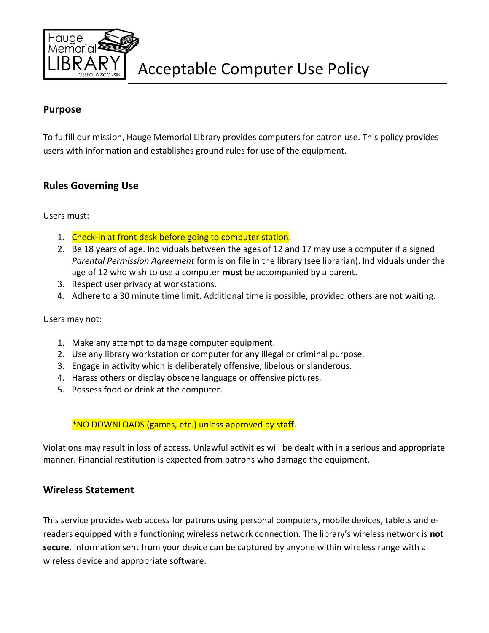

# **Purpose**

To fulfill our mission, Hauge Memorial Library provides computers for patron use. This policy provides users with information and establishes ground rules for use of the equipment.

### **Rules Governing Use**

Users must:

- 1. Check-in at front desk before going to computer station.
- 2. Be 18 years of age. Individuals between the ages of 12 and 17 may use a computer if a signed *Parental Permission Agreement* form is on file in the library (see librarian). Individuals under the age of 12 who wish to use a computer **must** be accompanied by a parent.
- 3. Respect user privacy at workstations.
- 4. Adhere to a 30 minute time limit. Additional time is possible, provided others are not waiting.

#### Users may not:

- 1. Make any attempt to damage computer equipment.
- 2. Use any library workstation or computer for any illegal or criminal purpose.
- 3. Engage in activity which is deliberately offensive, libelous or slanderous.
- 4. Harass others or display obscene language or offensive pictures.
- 5. Possess food or drink at the computer.

\*NO DOWNLOADS (games, etc.) unless approved by staff.

Violations may result in loss of access. Unlawful activities will be dealt with in a serious and appropriate manner. Financial restitution is expected from patrons who damage the equipment.

### **Wireless Statement**

This service provides web access for patrons using personal computers, mobile devices, tablets and ereaders equipped with a functioning wireless network connection. The library's wireless network is **not secure**. Information sent from your device can be captured by anyone within wireless range with a wireless device and appropriate software.